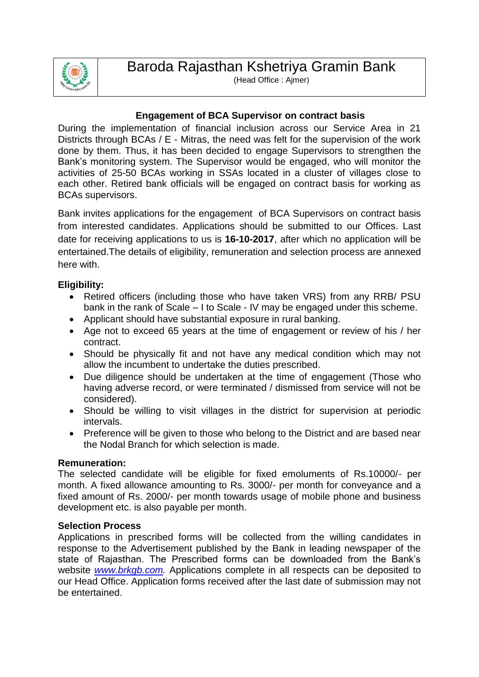

## **Engagement of BCA Supervisor on contract basis**

During the implementation of financial inclusion across our Service Area in 21 Districts through BCAs / E - Mitras, the need was felt for the supervision of the work done by them. Thus, it has been decided to engage Supervisors to strengthen the Bank's monitoring system. The Supervisor would be engaged, who will monitor the activities of 25-50 BCAs working in SSAs located in a cluster of villages close to each other. Retired bank officials will be engaged on contract basis for working as BCAs supervisors.

Bank invites applications for the engagement of BCA Supervisors on contract basis from interested candidates. Applications should be submitted to our Offices. Last date for receiving applications to us is **16-10-2017**, after which no application will be entertained.The details of eligibility, remuneration and selection process are annexed here with.

#### **Eligibility:**

- Retired officers (including those who have taken VRS) from any RRB/ PSU bank in the rank of Scale – I to Scale - IV may be engaged under this scheme.
- Applicant should have substantial exposure in rural banking.
- Age not to exceed 65 years at the time of engagement or review of his / her contract.
- Should be physically fit and not have any medical condition which may not allow the incumbent to undertake the duties prescribed.
- Due diligence should be undertaken at the time of engagement (Those who having adverse record, or were terminated / dismissed from service will not be considered).
- Should be willing to visit villages in the district for supervision at periodic intervals.
- Preference will be given to those who belong to the District and are based near the Nodal Branch for which selection is made.

#### **Remuneration:**

The selected candidate will be eligible for fixed emoluments of Rs.10000/- per month. A fixed allowance amounting to Rs. 3000/- per month for conveyance and a fixed amount of Rs. 2000/- per month towards usage of mobile phone and business development etc. is also payable per month.

#### **Selection Process**

Applications in prescribed forms will be collected from the willing candidates in response to the Advertisement published by the Bank in leading newspaper of the state of Rajasthan. The Prescribed forms can be downloaded from the Bank's website *[www.brkgb.com.](http://www.brkgb.com/)* Applications complete in all respects can be deposited to our Head Office. Application forms received after the last date of submission may not be entertained.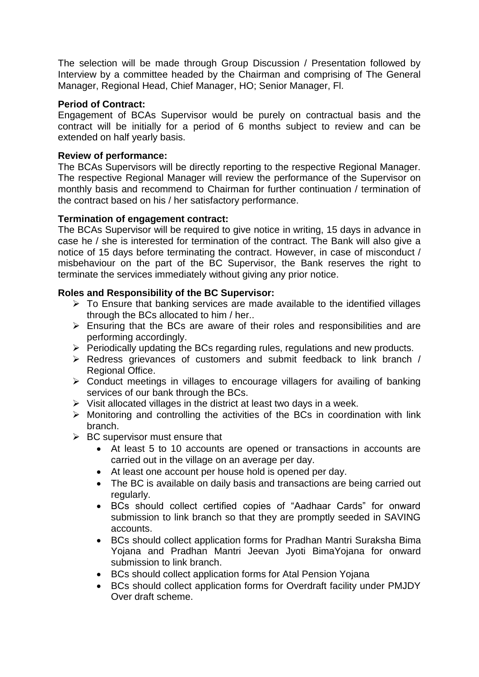The selection will be made through Group Discussion / Presentation followed by Interview by a committee headed by the Chairman and comprising of The General Manager, Regional Head, Chief Manager, HO; Senior Manager, Fl.

#### **Period of Contract:**

Engagement of BCAs Supervisor would be purely on contractual basis and the contract will be initially for a period of 6 months subject to review and can be extended on half yearly basis.

#### **Review of performance:**

The BCAs Supervisors will be directly reporting to the respective Regional Manager. The respective Regional Manager will review the performance of the Supervisor on monthly basis and recommend to Chairman for further continuation / termination of the contract based on his / her satisfactory performance.

## **Termination of engagement contract:**

The BCAs Supervisor will be required to give notice in writing, 15 days in advance in case he / she is interested for termination of the contract. The Bank will also give a notice of 15 days before terminating the contract. However, in case of misconduct / misbehaviour on the part of the BC Supervisor, the Bank reserves the right to terminate the services immediately without giving any prior notice.

# **Roles and Responsibility of the BC Supervisor:**

- $\triangleright$  To Ensure that banking services are made available to the identified villages through the BCs allocated to him / her..
- $\triangleright$  Ensuring that the BCs are aware of their roles and responsibilities and are performing accordingly.
- $\triangleright$  Periodically updating the BCs regarding rules, regulations and new products.
- $\triangleright$  Redress grievances of customers and submit feedback to link branch / Regional Office.
- $\triangleright$  Conduct meetings in villages to encourage villagers for availing of banking services of our bank through the BCs.
- $\triangleright$  Visit allocated villages in the district at least two days in a week.
- $\triangleright$  Monitoring and controlling the activities of the BCs in coordination with link branch.
- $\triangleright$  BC supervisor must ensure that
	- At least 5 to 10 accounts are opened or transactions in accounts are carried out in the village on an average per day.
	- At least one account per house hold is opened per day.
	- The BC is available on daily basis and transactions are being carried out regularly.
	- BCs should collect certified copies of "Aadhaar Cards" for onward submission to link branch so that they are promptly seeded in SAVING accounts.
	- BCs should collect application forms for Pradhan Mantri Suraksha Bima Yojana and Pradhan Mantri Jeevan Jyoti BimaYojana for onward submission to link branch.
	- BCs should collect application forms for Atal Pension Yojana
	- BCs should collect application forms for Overdraft facility under PMJDY Over draft scheme.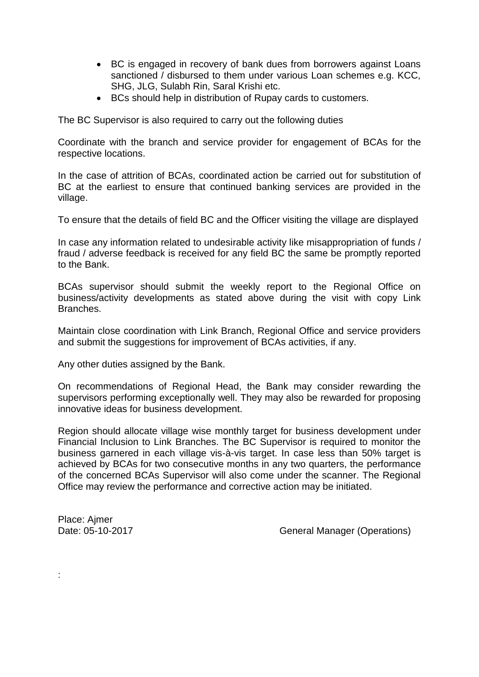- BC is engaged in recovery of bank dues from borrowers against Loans sanctioned / disbursed to them under various Loan schemes e.g. KCC, SHG, JLG, Sulabh Rin, Saral Krishi etc.
- BCs should help in distribution of Rupay cards to customers.

The BC Supervisor is also required to carry out the following duties

Coordinate with the branch and service provider for engagement of BCAs for the respective locations.

In the case of attrition of BCAs, coordinated action be carried out for substitution of BC at the earliest to ensure that continued banking services are provided in the village.

To ensure that the details of field BC and the Officer visiting the village are displayed

In case any information related to undesirable activity like misappropriation of funds / fraud / adverse feedback is received for any field BC the same be promptly reported to the Bank.

BCAs supervisor should submit the weekly report to the Regional Office on business/activity developments as stated above during the visit with copy Link Branches.

Maintain close coordination with Link Branch, Regional Office and service providers and submit the suggestions for improvement of BCAs activities, if any.

Any other duties assigned by the Bank.

On recommendations of Regional Head, the Bank may consider rewarding the supervisors performing exceptionally well. They may also be rewarded for proposing innovative ideas for business development.

Region should allocate village wise monthly target for business development under Financial Inclusion to Link Branches. The BC Supervisor is required to monitor the business garnered in each village vis-à-vis target. In case less than 50% target is achieved by BCAs for two consecutive months in any two quarters, the performance of the concerned BCAs Supervisor will also come under the scanner. The Regional Office may review the performance and corrective action may be initiated.

Place: Ajmer

:

Date: 05-10-2017 General Manager (Operations)